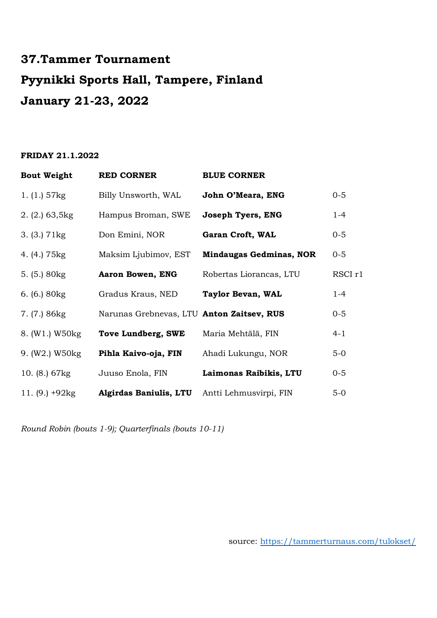# **37.Tammer Tournament Pyynikki Sports Hall, Tampere, Finland January 21-23, 2022**

#### **FRIDAY 21.1.2022**

| <b>Bout Weight</b> | <b>RED CORNER</b>                         | <b>BLUE CORNER</b>             |                    |
|--------------------|-------------------------------------------|--------------------------------|--------------------|
| 1. $(1.) 57kg$     | Billy Unsworth, WAL                       | John O'Meara, ENG              | $0 - 5$            |
| 2. (2.) 63, 5kg    | Hampus Broman, SWE                        | <b>Joseph Tyers, ENG</b>       | $1 - 4$            |
| 3. (3.) 71kg       | Don Emini, NOR                            | Garan Croft, WAL               | $0 - 5$            |
| 4. (4.) 75 kg      | Maksim Ljubimov, EST                      | <b>Mindaugas Gedminas, NOR</b> | $0 - 5$            |
| 5. $(5.) 80kg$     | Aaron Bowen, ENG                          | Robertas Liorancas, LTU        | RSCI <sub>r1</sub> |
| 6. $(6.) 80kg$     | Gradus Kraus, NED                         | Taylor Bevan, WAL              | $1 - 4$            |
| 7. (7.) 86kg       | Narunas Grebnevas, LTU Anton Zaitsev, RUS |                                | $0 - 5$            |
| 8. (W1.) W50kg     | <b>Tove Lundberg, SWE</b>                 | Maria Mehtälä, FIN             | $4 - 1$            |
| 9. (W2.) W50kg     | Pihla Kaivo-oja, FIN                      | Ahadi Lukungu, NOR             | $5-0$              |
| 10. $(8.) 67kg$    | Juuso Enola, FIN                          | Laimonas Raibikis, LTU         | $0 - 5$            |
| 11. $(9.) + 92kg$  | Algirdas Baniulis, LTU                    | Antti Lehmusvirpi, FIN         | $5-0$              |

*Round Robin (bouts 1-9); Quarterfinals (bouts 10-11)*

source:<https://tammerturnaus.com/tulokset/>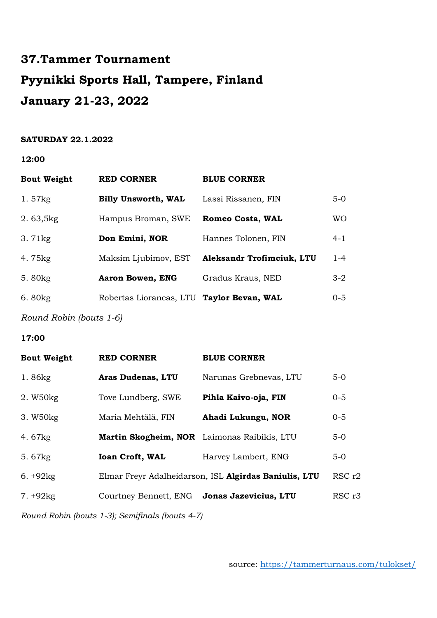# **37.Tammer Tournament Pyynikki Sports Hall, Tampere, Finland January 21-23, 2022**

### **SATURDAY 22.1.2022**

**12:00** 

| <b>Bout Weight</b> | <b>RED CORNER</b>                         | <b>BLUE CORNER</b>               |           |
|--------------------|-------------------------------------------|----------------------------------|-----------|
| 1.57kg             | <b>Billy Unsworth, WAL</b>                | Lassi Rissanen, FIN              | $5-0$     |
| 2.63,5kg           | Hampus Broman, SWE                        | <b>Romeo Costa, WAL</b>          | <b>WO</b> |
| $3.71$ kg          | Don Emini, NOR                            | Hannes Tolonen, FIN              | $4 - 1$   |
| 4.75kg             | Maksim Ljubimov, EST                      | <b>Aleksandr Trofimciuk, LTU</b> | $1 - 4$   |
| 5.80 kg            | Aaron Bowen, ENG                          | Gradus Kraus, NED                | $3-2$     |
| 6.80kg             | Robertas Liorancas, LTU Taylor Bevan, WAL |                                  | $0 - 5$   |
|                    |                                           |                                  |           |

*Round Robin (bouts 1-6)*

**17:00** 

| <b>Bout Weight</b>                              | <b>RED CORNER</b>                           | <b>BLUE CORNER</b>                                    |         |  |
|-------------------------------------------------|---------------------------------------------|-------------------------------------------------------|---------|--|
| 1.86kg                                          | <b>Aras Dudenas, LTU</b>                    | Narunas Grebnevas, LTU                                | $5-0$   |  |
| 2. W50kg                                        | Tove Lundberg, SWE                          | Pihla Kaivo-oja, FIN                                  | $0 - 5$ |  |
| 3. W50kg                                        | Maria Mehtälä, FIN                          | Ahadi Lukungu, NOR                                    | $0 - 5$ |  |
| 4.67kg                                          | Martin Skogheim, NOR Laimonas Raibikis, LTU |                                                       | $5-0$   |  |
| 5.67kg                                          | <b>Ioan Croft, WAL</b>                      | Harvey Lambert, ENG                                   | $5-0$   |  |
| $6. +92kg$                                      |                                             | Elmar Freyr Adalheidarson, ISL Algirdas Baniulis, LTU | RSC r2  |  |
| $7. +92kg$                                      | Courtney Bennett, ENG                       | Jonas Jazevicius, LTU                                 | RSC r3  |  |
| Round Robin (bouts 1-3); Semifinals (bouts 4-7) |                                             |                                                       |         |  |